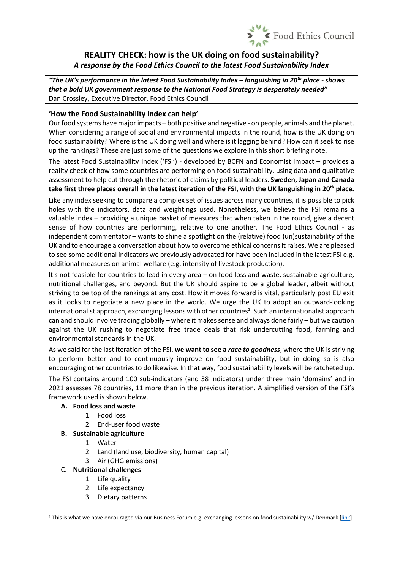

# **REALITY CHECK: how is the UK doing on food sustainability?** *A response by the Food Ethics Council to the latest Food Sustainability Index*

*"The UK's performance in the latest Food Sustainability Index – languishing in 20th place - shows that a bold UK government response to the National Food Strategy is desperately needed"* Dan Crossley, Executive Director, Food Ethics Council

## **'How the Food Sustainability Index can help'**

Our food systems have major impacts – both positive and negative - on people, animals and the planet. When considering a range of social and environmental impacts in the round, how is the UK doing on food sustainability? Where is the UK doing well and where is it lagging behind? How can it seek to rise up the rankings? These are just some of the questions we explore in this short briefing note.

The latest Food Sustainability Index ('FSI') - developed by BCFN and Economist Impact – provides a reality check of how some countries are performing on food sustainability, using data and qualitative assessment to help cut through the rhetoric of claims by political leaders. **Sweden, Japan and Canada take first three places overall in the latest iteration of the FSI, with the UK languishing in 20th place.**

Like any index seeking to compare a complex set of issues across many countries, it is possible to pick holes with the indicators, data and weightings used. Nonetheless, we believe the FSI remains a valuable index – providing a unique basket of measures that when taken in the round, give a decent sense of how countries are performing, relative to one another. The Food Ethics Council - as independent commentator – wants to shine a spotlight on the (relative) food (un)sustainability of the UK and to encourage a conversation about how to overcome ethical concerns it raises. We are pleased to see some additional indicators we previously advocated for have been included in the latest FSI e.g. additional measures on animal welfare (e.g. intensity of livestock production).

It's not feasible for countries to lead in every area – on food loss and waste, sustainable agriculture, nutritional challenges, and beyond. But the UK should aspire to be a global leader, albeit without striving to be top of the rankings at any cost. How it moves forward is vital, particularly post EU exit as it looks to negotiate a new place in the world. We urge the UK to adopt an outward-looking internationalist approach, exchanging lessons with other countries<sup>1</sup>. Such an internationalist approach can and should involve trading globally – where it makes sense and always done fairly – but we caution against the UK rushing to negotiate free trade deals that risk undercutting food, farming and environmental standards in the UK.

As we said for the last iteration of the FSI, **we want to see a** *race to goodness*, where the UK is striving to perform better and to continuously improve on food sustainability, but in doing so is also encouraging other countries to do likewise. In that way, food sustainability levels will be ratcheted up.

The FSI contains around 100 sub-indicators (and 38 indicators) under three main 'domains' and in 2021 assesses 78 countries, 11 more than in the previous iteration. A simplified version of the FSI's framework used is shown below.

## **A. Food loss and waste**

- 1. Food loss
- 2. End-user food waste

#### **B. Sustainable agriculture**

- 1. Water
- 2. Land (land use, biodiversity, human capital)
- 3. Air (GHG emissions)

#### C. **Nutritional challenges**

- 1. Life quality
- 2. Life expectancy
- 3. Dietary patterns

<sup>&</sup>lt;sup>1</sup> This is what we have encouraged via our Business Forum e.g. exchanging lessons on food sustainability w/ Denmark [\[link\]](https://www.foodethicscouncil.org/resource/lessons-on-food-sustainability-from-denmark/)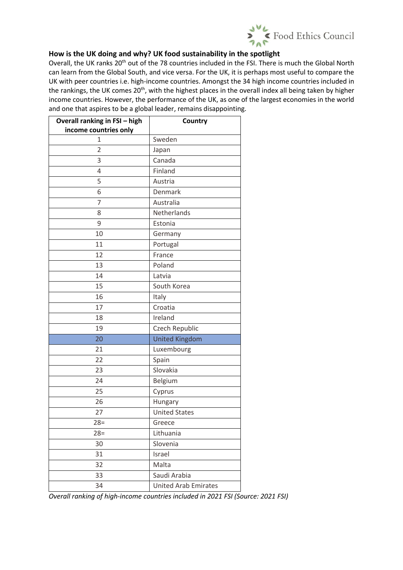

## **How is the UK doing and why? UK food sustainability in the spotlight**

Overall, the UK ranks 20<sup>th</sup> out of the 78 countries included in the FSI. There is much the Global North can learn from the Global South, and vice versa. For the UK, it is perhaps most useful to compare the UK with peer countries i.e. high-income countries. Amongst the 34 high income countries included in the rankings, the UK comes 20<sup>th</sup>, with the highest places in the overall index all being taken by higher income countries. However, the performance of the UK, as one of the largest economies in the world and one that aspires to be a global leader, remains disappointing.

| Overall ranking in FSI - high | Country                     |  |
|-------------------------------|-----------------------------|--|
| income countries only         |                             |  |
| 1                             | Sweden                      |  |
| $\overline{2}$                | Japan                       |  |
| 3                             | Canada                      |  |
| 4                             | Finland                     |  |
| 5                             | Austria                     |  |
| 6                             | Denmark                     |  |
| 7                             | Australia                   |  |
| 8                             | Netherlands                 |  |
| 9                             | Estonia                     |  |
| 10                            | Germany                     |  |
| 11                            | Portugal                    |  |
| 12                            | France                      |  |
| 13                            | Poland                      |  |
| 14                            | Latvia                      |  |
| 15                            | South Korea                 |  |
| 16                            | Italy                       |  |
| 17                            | Croatia                     |  |
| 18                            | Ireland                     |  |
| 19                            | Czech Republic              |  |
| 20                            | <b>United Kingdom</b>       |  |
| 21                            | Luxembourg                  |  |
| 22                            | Spain                       |  |
| 23                            | Slovakia                    |  |
| 24                            | Belgium                     |  |
| 25                            | Cyprus                      |  |
| 26                            | Hungary                     |  |
| 27                            | <b>United States</b>        |  |
| $28=$                         | Greece                      |  |
| $28=$                         | Lithuania                   |  |
| 30                            | Slovenia                    |  |
| 31                            | Israel                      |  |
| 32                            | Malta                       |  |
| 33                            | Saudi Arabia                |  |
| 34                            | <b>United Arab Emirates</b> |  |

*Overall ranking of high-income countries included in 2021 FSI (Source: 2021 FSI)*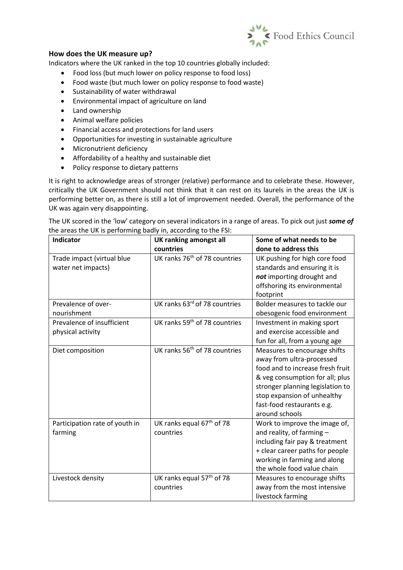

### **How does the UK measure up?**

Indicators where the UK ranked in the top 10 countries globally included:

- Food loss (but much lower on policy response to food loss)
- Food waste (but much lower on policy response to food waste)
- Sustainability of water withdrawal
- Environmental impact of agriculture on land
- Land ownership
- Animal welfare policies
- Financial access and protections for land users
- Opportunities for investing in sustainable agriculture
- Micronutrient deficiency
- Affordability of a healthy and sustainable diet
- Policy response to dietary patterns

It is right to acknowledge areas of stronger (relative) performance and to celebrate these. However, critically the UK Government should not think that it can rest on its laurels in the areas the UK is performing better on, as there is still a lot of improvement needed. Overall, the performance of the UK was again very disappointing.

The UK scored in the 'low' category on several indicators in a range of areas. To pick out just *some of* the areas the UK is performing badly in, according to the FSI:

| Indicator                      | <b>UK ranking amongst all</b>             | Some of what needs to be         |
|--------------------------------|-------------------------------------------|----------------------------------|
|                                | countries                                 | done to address this             |
| Trade impact (virtual blue     | UK ranks 76 <sup>th</sup> of 78 countries | UK pushing for high core food    |
| water net impacts)             |                                           | standards and ensuring it is     |
|                                |                                           | not importing drought and        |
|                                |                                           | offshoring its environmental     |
|                                |                                           | footprint                        |
| Prevalence of over-            | UK ranks 63rd of 78 countries             | Bolder measures to tackle our    |
| nourishment                    |                                           | obesogenic food environment      |
| Prevalence of insufficient     | UK ranks 59 <sup>th</sup> of 78 countries | Investment in making sport       |
| physical activity              |                                           | and exercise accessible and      |
|                                |                                           | fun for all, from a young age    |
| Diet composition               | UK ranks 56 <sup>th</sup> of 78 countries | Measures to encourage shifts     |
|                                |                                           | away from ultra-processed        |
|                                |                                           | food and to increase fresh fruit |
|                                |                                           | & veg consumption for all; plus  |
|                                |                                           | stronger planning legislation to |
|                                |                                           | stop expansion of unhealthy      |
|                                |                                           | fast-food restaurants e.g.       |
|                                |                                           | around schools                   |
| Participation rate of youth in | UK ranks equal 67 <sup>th</sup> of 78     | Work to improve the image of,    |
| farming                        | countries                                 | and reality, of farming -        |
|                                |                                           | including fair pay & treatment   |
|                                |                                           | + clear career paths for people  |
|                                |                                           | working in farming and along     |
|                                |                                           | the whole food value chain       |
| Livestock density              | UK ranks equal 57 <sup>th</sup> of 78     | Measures to encourage shifts     |
|                                | countries                                 | away from the most intensive     |
|                                |                                           | livestock farming                |